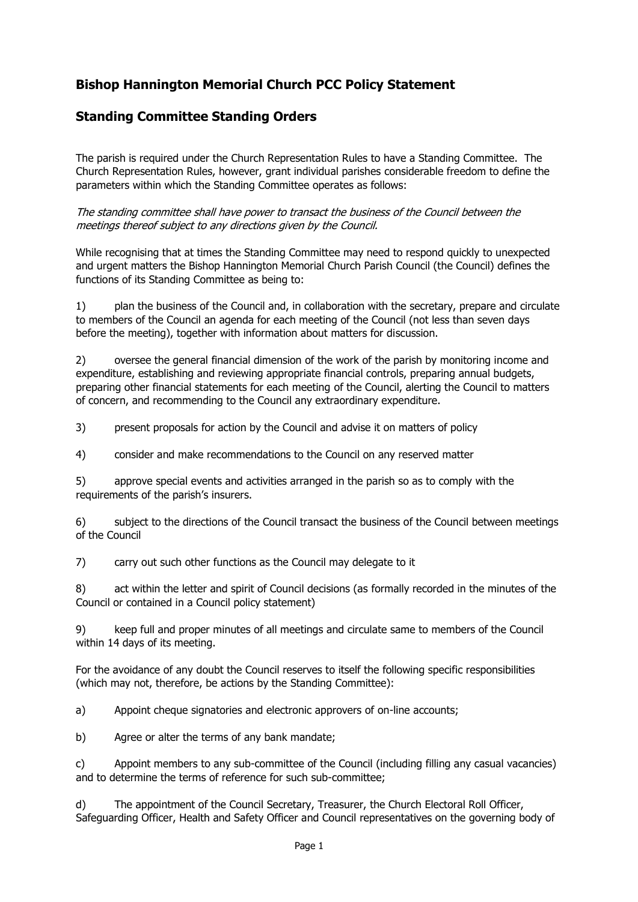## **Bishop Hannington Memorial Church PCC Policy Statement**

## **Standing Committee Standing Orders**

The parish is required under the Church Representation Rules to have a Standing Committee. The Church Representation Rules, however, grant individual parishes considerable freedom to define the parameters within which the Standing Committee operates as follows:

The standing committee shall have power to transact the business of the Council between the meetings thereof subject to any directions given by the Council.

While recognising that at times the Standing Committee may need to respond quickly to unexpected and urgent matters the Bishop Hannington Memorial Church Parish Council (the Council) defines the functions of its Standing Committee as being to:

1) plan the business of the Council and, in collaboration with the secretary, prepare and circulate to members of the Council an agenda for each meeting of the Council (not less than seven days before the meeting), together with information about matters for discussion.

2) oversee the general financial dimension of the work of the parish by monitoring income and expenditure, establishing and reviewing appropriate financial controls, preparing annual budgets, preparing other financial statements for each meeting of the Council, alerting the Council to matters of concern, and recommending to the Council any extraordinary expenditure.

3) present proposals for action by the Council and advise it on matters of policy

4) consider and make recommendations to the Council on any reserved matter

5) approve special events and activities arranged in the parish so as to comply with the requirements of the parish's insurers.

6) subject to the directions of the Council transact the business of the Council between meetings of the Council

7) carry out such other functions as the Council may delegate to it

8) act within the letter and spirit of Council decisions (as formally recorded in the minutes of the Council or contained in a Council policy statement)

9) keep full and proper minutes of all meetings and circulate same to members of the Council within 14 days of its meeting.

For the avoidance of any doubt the Council reserves to itself the following specific responsibilities (which may not, therefore, be actions by the Standing Committee):

a) Appoint cheque signatories and electronic approvers of on-line accounts;

b) Agree or alter the terms of any bank mandate;

c) Appoint members to any sub-committee of the Council (including filling any casual vacancies) and to determine the terms of reference for such sub-committee;

d) The appointment of the Council Secretary, Treasurer, the Church Electoral Roll Officer, Safeguarding Officer, Health and Safety Officer and Council representatives on the governing body of